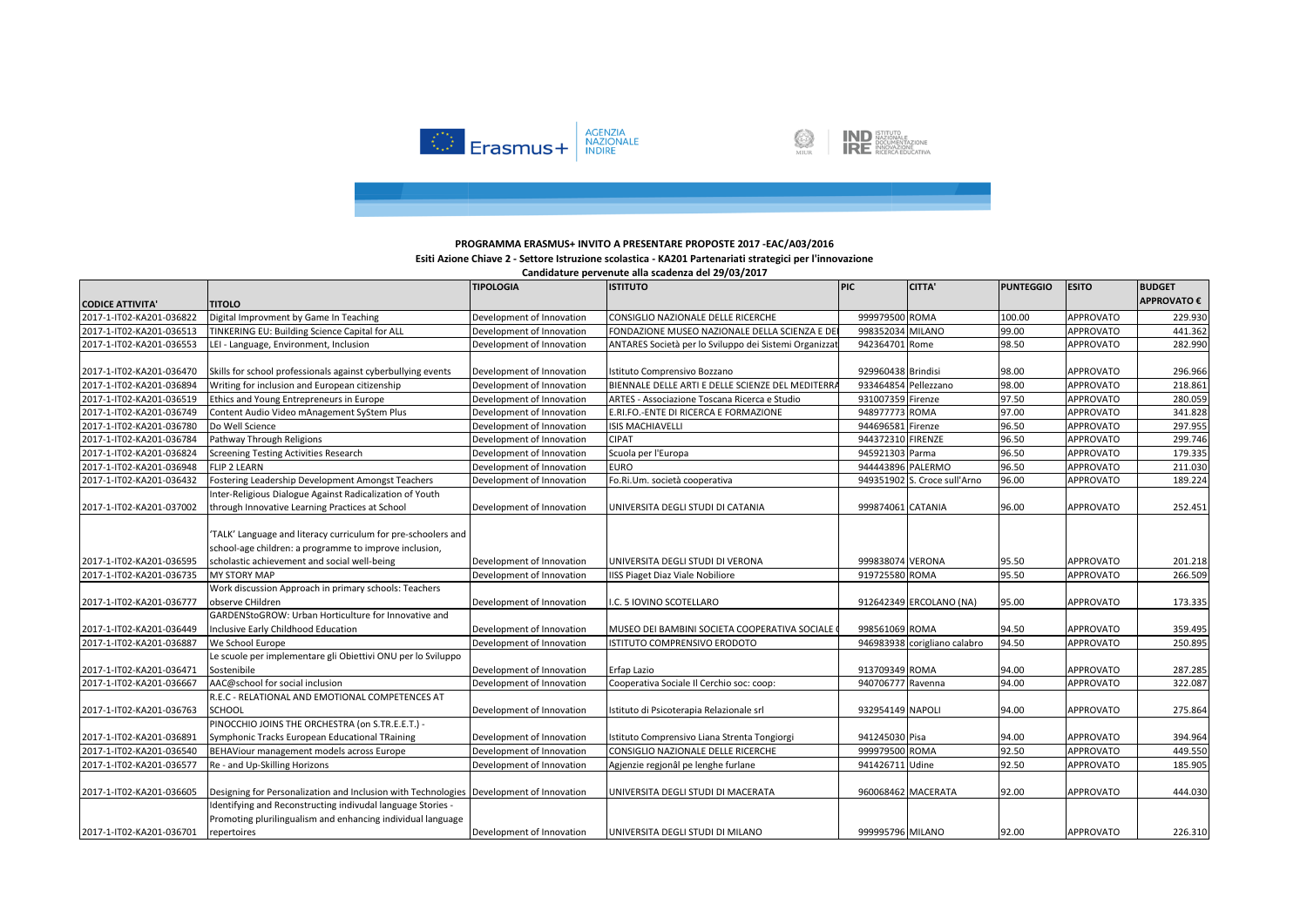

**IND** ISTITUTO<br>DOCUMENTAZIONE<br>**IRE** INNOVAZIONE 



## **Esiti Azione Chiave 2 - Settore Istruzione scolastica - KA201 Partenariati strategici per l'innovazione**

|                                                      |                                                                                                                            | <b>TIPOLOGIA</b>          | <b>ISTITUTO</b>                                       | <b>PIC</b>           | CITTA'                       | <b>PUNTEGGIO</b> | <b>ESITO</b>     | <b>BUDGET</b>      |
|------------------------------------------------------|----------------------------------------------------------------------------------------------------------------------------|---------------------------|-------------------------------------------------------|----------------------|------------------------------|------------------|------------------|--------------------|
| <b>CODICE ATTIVITA'</b>                              | <b>TITOLO</b>                                                                                                              |                           |                                                       |                      |                              |                  |                  | <b>APPROVATO €</b> |
| 2017-1-IT02-KA201-036822                             | Digital Improvment by Game In Teaching                                                                                     | Development of Innovation | CONSIGLIO NAZIONALE DELLE RICERCHE                    | 999979500 ROMA       |                              | 100.00           | <b>APPROVATO</b> | 229.930            |
| 2017-1-IT02-KA201-036513                             | TINKERING EU: Building Science Capital for ALL                                                                             | Development of Innovation | FONDAZIONE MUSEO NAZIONALE DELLA SCIENZA E DE         | 998352034 MILANO     |                              | 99.00            | APPROVATO        | 441.362            |
| 2017-1-IT02-KA201-036553                             | LEI - Language, Environment, Inclusion                                                                                     | Development of Innovation | ANTARES Società per lo Sviluppo dei Sistemi Organizza | 942364701 Rome       |                              | 98.50            | APPROVATO        | 282.990            |
|                                                      |                                                                                                                            |                           |                                                       |                      |                              |                  |                  |                    |
| 2017-1-IT02-KA201-036470                             | Skills for school professionals against cyberbullying events                                                               | Development of Innovation | Istituto Comprensivo Bozzano                          | 929960438 Brindisi   |                              | 98.00            | <b>APPROVATO</b> | 296.966            |
| 2017-1-IT02-KA201-036894                             | Writing for inclusion and European citizenship                                                                             | Development of Innovation | BIENNALE DELLE ARTI E DELLE SCIENZE DEL MEDITERR/     | 933464854 Pellezzano |                              | 98.00            | <b>APPROVATO</b> | 218.861            |
| 2017-1-IT02-KA201-036519                             | Ethics and Young Entrepreneurs in Europe                                                                                   | Development of Innovation | ARTES - Associazione Toscana Ricerca e Studio         | 931007359 Firenze    |                              | 97.50            | APPROVATO        | 280.059            |
| 2017-1-IT02-KA201-036749                             | Content Audio Video mAnagement SyStem Plus                                                                                 | Development of Innovation | E.RI.FO.-ENTE DI RICERCA E FORMAZIONE                 | 948977773 ROMA       |                              | 97.00            | APPROVATO        | 341.828            |
| 2017-1-IT02-KA201-036780                             | Do Well Science                                                                                                            | Development of Innovation | <b>ISIS MACHIAVELLI</b>                               | 944696581            | Firenze                      | 96.50            | <b>APPROVATO</b> | 297.955            |
| 2017-1-IT02-KA201-036784                             | Pathway Through Religions                                                                                                  | Development of Innovation | <b>CIPAT</b>                                          | 944372310 FIRENZE    |                              | 96.50            | <b>APPROVATO</b> | 299.746            |
| 2017-1-IT02-KA201-036824                             | <b>Screening Testing Activities Research</b>                                                                               | Development of Innovation | Scuola per l'Europa                                   | 945921303 Parma      |                              | 96.50            | <b>APPROVATO</b> | 179.335            |
| 2017-1-IT02-KA201-036948                             | <b>FLIP 2 LEARN</b>                                                                                                        | Development of Innovation | <b>EURO</b>                                           | 944443896 PALERMO    |                              | 96.50            | APPROVATO        | 211.030            |
| 2017-1-IT02-KA201-036432                             | Fostering Leadership Development Amongst Teachers                                                                          | Development of Innovation | Fo.Ri.Um. società cooperativa                         |                      | 949351902 S. Croce sull'Arno | 96.00            | APPROVATO        | 189.224            |
|                                                      | Inter-Religious Dialogue Against Radicalization of Youth                                                                   |                           |                                                       |                      |                              |                  |                  |                    |
| 2017-1-IT02-KA201-037002                             | through Innovative Learning Practices at School                                                                            | Development of Innovation | UNIVERSITA DEGLI STUDI DI CATANIA                     | 999874061 CATANIA    |                              | 96.00            | APPROVATO        | 252.451            |
|                                                      | 'TALK' Language and literacy curriculum for pre-schoolers and<br>school-age children: a programme to improve inclusion,    |                           |                                                       |                      |                              |                  |                  |                    |
| 2017-1-IT02-KA201-036595                             | scholastic achievement and social well-being                                                                               | Development of Innovation | UNIVERSITA DEGLI STUDI DI VERONA                      | 999838074 VERONA     |                              | 95.50            | APPROVATO        | 201.218            |
| 2017-1-IT02-KA201-036735                             | <b>MY STORY MAP</b>                                                                                                        | Development of Innovation | IISS Piaget Diaz Viale Nobiliore                      | 919725580 ROMA       |                              | 95.50            | <b>APPROVATO</b> | 266.509            |
|                                                      | Work discussion Approach in primary schools: Teachers<br>observe CHildren                                                  | Development of Innovation |                                                       |                      | 912642349 ERCOLANO (NA)      |                  | <b>APPROVATO</b> |                    |
| 2017-1-IT02-KA201-036777                             | GARDENStoGROW: Urban Horticulture for Innovative and                                                                       |                           | I.C. 5 IOVINO SCOTELLARO                              |                      |                              | 95.00            |                  | 173.335            |
|                                                      | Inclusive Early Childhood Education                                                                                        | Development of Innovation | MUSEO DEI BAMBINI SOCIETA COOPERATIVA SOCIALE         | 998561069 ROMA       |                              | 94.50            | APPROVATO        | 359.495            |
| 2017-1-IT02-KA201-036449<br>2017-1-IT02-KA201-036887 | We School Europe                                                                                                           | Development of Innovation | ISTITUTO COMPRENSIVO ERODOTO                          |                      | 946983938 corigliano calabro | 94.50            | <b>APPROVATO</b> | 250.895            |
|                                                      | Le scuole per implementare gli Obiettivi ONU per lo Sviluppo                                                               |                           |                                                       |                      |                              |                  |                  |                    |
| 2017-1-IT02-KA201-036471                             | Sostenibile                                                                                                                | Development of Innovation | Erfap Lazio                                           | 913709349 ROMA       |                              | 94.00            | <b>APPROVATO</b> | 287.285            |
| 2017-1-IT02-KA201-036667                             | AAC@school for social inclusion                                                                                            | Development of Innovation | Cooperativa Sociale Il Cerchio soc: coop:             | 940706777 Ravenna    |                              | 94.00            | <b>APPROVATO</b> | 322.087            |
|                                                      | R.E.C - RELATIONAL AND EMOTIONAL COMPETENCES AT                                                                            |                           |                                                       |                      |                              |                  |                  |                    |
| 2017-1-IT02-KA201-036763                             | <b>SCHOOL</b>                                                                                                              | Development of Innovation | Istituto di Psicoterapia Relazionale srl              | 932954149 NAPOLI     |                              | 94.00            | <b>APPROVATO</b> | 275.864            |
|                                                      | PINOCCHIO JOINS THE ORCHESTRA (on S.TR.E.E.T.) -                                                                           |                           |                                                       |                      |                              |                  |                  |                    |
| 2017-1-IT02-KA201-036891                             | Symphonic Tracks European Educational TRaining                                                                             | Development of Innovation | Istituto Comprensivo Liana Strenta Tongiorgi          | 941245030 Pisa       |                              | 94.00            | APPROVATO        | 394.964            |
| 2017-1-IT02-KA201-036540                             | BEHAViour management models across Europe                                                                                  | Development of Innovation | CONSIGLIO NAZIONALE DELLE RICERCHE                    | 999979500 ROMA       |                              | 92.50            | APPROVATO        | 449.550            |
| 2017-1-IT02-KA201-036577                             | Re - and Up-Skilling Horizons                                                                                              | Development of Innovation | Agjenzie regionâl pe lenghe furlane                   | 941426711 Udine      |                              | 92.50            | <b>APPROVATO</b> | 185.905            |
|                                                      |                                                                                                                            |                           |                                                       |                      |                              |                  |                  |                    |
| 2017-1-IT02-KA201-036605                             | Designing for Personalization and Inclusion with Technologies   Development of Innovation                                  |                           | UNIVERSITA DEGLI STUDI DI MACERATA                    | 960068462 MACERATA   |                              | 92.00            | <b>APPROVATO</b> | 444.030            |
|                                                      | Identifying and Reconstructing indivudal language Stories -<br>Promoting plurilingualism and enhancing individual language |                           |                                                       |                      |                              |                  |                  |                    |
| 2017-1-IT02-KA201-036701                             | repertoires                                                                                                                | Development of Innovation | UNIVERSITA DEGLI STUDI DI MILANO                      | 999995796 MILANO     |                              | 92.00            | <b>APPROVATO</b> | 226.310            |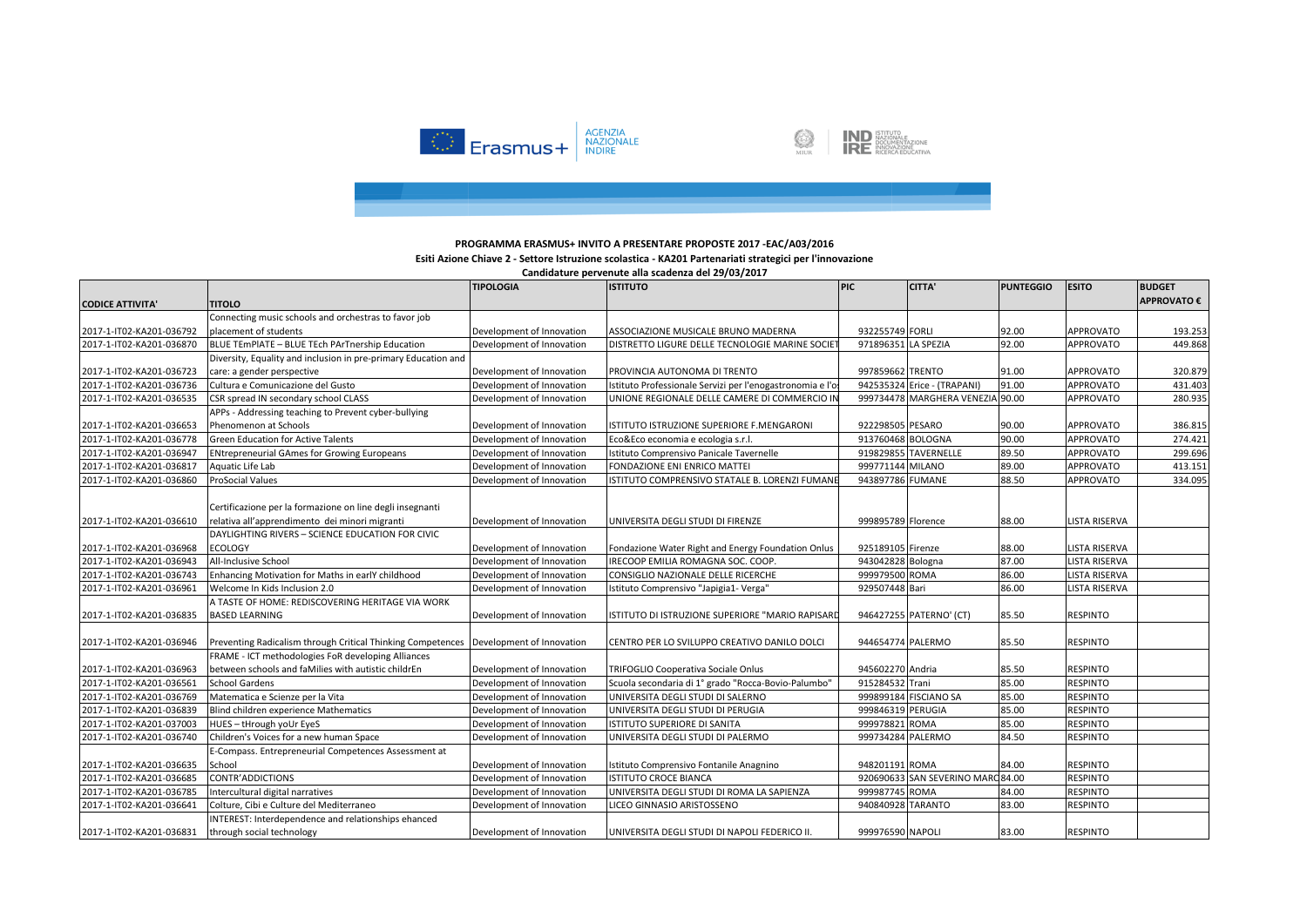

**IND** ISTITUTO<br>DOCUMENTAZIONE<br>**IRE** INNOVAZIONE 

### **PROGRAMMA ERASMUS+ INVITO A PRESENTARE PROPOSTE 2017 -EAC/A03/2016**

### **Esiti Azione Chiave 2 - Settore Istruzione scolastica - KA201 Partenariati strategici per l'innovazione**

|                          |                                                                                                             | <b>TIPOLOGIA</b>          | <b>ISTITUTO</b>                                           | <b>PIC</b>          | <b>CITTA'</b>                     | <b>PUNTEGGIO</b> | <b>ESITO</b>         | <b>BUDGET</b>      |
|--------------------------|-------------------------------------------------------------------------------------------------------------|---------------------------|-----------------------------------------------------------|---------------------|-----------------------------------|------------------|----------------------|--------------------|
| <b>CODICE ATTIVITA'</b>  | <b>TITOLO</b>                                                                                               |                           |                                                           |                     |                                   |                  |                      | <b>APPROVATO €</b> |
|                          | Connecting music schools and orchestras to favor job                                                        |                           |                                                           |                     |                                   |                  |                      |                    |
| 2017-1-IT02-KA201-036792 | placement of students                                                                                       | Development of Innovation | ASSOCIAZIONE MUSICALE BRUNO MADERNA                       | 932255749 FORLI     |                                   | 92.00            | APPROVATO            | 193.253            |
| 2017-1-IT02-KA201-036870 | BLUE TEmPlATE - BLUE TEch PArTnership Education                                                             | Development of Innovation | DISTRETTO LIGURE DELLE TECNOLOGIE MARINE SOCIE            | 971896351 LA SPEZIA |                                   | 92.00            | <b>APPROVATO</b>     | 449.868            |
|                          | Diversity, Equality and inclusion in pre-primary Education and                                              |                           |                                                           |                     |                                   |                  |                      |                    |
| 2017-1-IT02-KA201-036723 | care: a gender perspective                                                                                  | Development of Innovation | PROVINCIA AUTONOMA DI TRENTO                              | 997859662 TRENTO    |                                   | 91.00            | <b>APPROVATO</b>     | 320.879            |
| 2017-1-IT02-KA201-036736 | Cultura e Comunicazione del Gusto                                                                           | Development of Innovation | Istituto Professionale Servizi per l'enogastronomia e l'o |                     | 942535324 Erice - (TRAPANI)       | 91.00            | <b>APPROVATO</b>     | 431.403            |
| 2017-1-IT02-KA201-036535 | CSR spread IN secondary school CLASS                                                                        | Development of Innovation | UNIONE REGIONALE DELLE CAMERE DI COMMERCIO IN             |                     | 999734478 MARGHERA VENEZIA 90.00  |                  | APPROVATO            | 280.935            |
|                          | APPs - Addressing teaching to Prevent cyber-bullying                                                        |                           |                                                           |                     |                                   |                  |                      |                    |
| 2017-1-IT02-KA201-036653 | Phenomenon at Schools                                                                                       | Development of Innovation | ISTITUTO ISTRUZIONE SUPERIORE F.MENGARONI                 | 922298505 PESARO    |                                   | 90.00            | <b>APPROVATO</b>     | 386.815            |
| 2017-1-IT02-KA201-036778 | <b>Green Education for Active Talents</b>                                                                   | Development of Innovation | Eco&Eco economia e ecologia s.r.l.                        | 913760468 BOLOGNA   |                                   | 90.00            | <b>APPROVATO</b>     | 274.421            |
| 2017-1-IT02-KA201-036947 | <b>ENtrepreneurial GAmes for Growing Europeans</b>                                                          | Development of Innovation | Istituto Comprensivo Panicale Tavernelle                  |                     | 919829855 TAVERNELLE              | 89.50            | <b>APPROVATO</b>     | 299.696            |
| 2017-1-IT02-KA201-036817 | Aquatic Life Lab                                                                                            | Development of Innovation | FONDAZIONE ENI ENRICO MATTEI                              | 999771144 MILANO    |                                   | 89.00            | APPROVATO            | 413.151            |
| 2017-1-IT02-KA201-036860 | ProSocial Values                                                                                            | Development of Innovation | ISTITUTO COMPRENSIVO STATALE B. LORENZI FUMANI            | 943897786 FUMANE    |                                   | 88.50            | APPROVATO            | 334.095            |
| 2017-1-IT02-KA201-036610 | Certificazione per la formazione on line degli insegnanti<br>relativa all'apprendimento dei minori migranti | Development of Innovation | UNIVERSITA DEGLI STUDI DI FIRENZE                         | 999895789 Florence  |                                   | 88.00            | <b>LISTA RISERVA</b> |                    |
|                          | DAYLIGHTING RIVERS - SCIENCE EDUCATION FOR CIVIC                                                            |                           |                                                           |                     |                                   |                  |                      |                    |
| 2017-1-IT02-KA201-036968 | <b>ECOLOGY</b>                                                                                              | Development of Innovation | Fondazione Water Right and Energy Foundation Onlus        | 925189105 Firenze   |                                   | 88.00            | LISTA RISERVA        |                    |
| 2017-1-IT02-KA201-036943 | All-Inclusive School                                                                                        | Development of Innovation | IRECOOP EMILIA ROMAGNA SOC. COOP.                         | 943042828 Bologna   |                                   | 87.00            | <b>LISTA RISERVA</b> |                    |
| 2017-1-IT02-KA201-036743 | Enhancing Motivation for Maths in earlY childhood                                                           | Development of Innovation | CONSIGLIO NAZIONALE DELLE RICERCHE                        | 999979500 ROMA      |                                   | 86.00            | <b>LISTA RISERVA</b> |                    |
| 2017-1-IT02-KA201-036961 | Welcome In Kids Inclusion 2.0                                                                               | Development of Innovation | Istituto Comprensivo "Japigia1- Verga"                    | 929507448 Bari      |                                   | 86.00            | <b>LISTA RISERVA</b> |                    |
| 2017-1-IT02-KA201-036835 | A TASTE OF HOME: REDISCOVERING HERITAGE VIA WORK<br><b>BASED LEARNING</b>                                   | Development of Innovation | ISTITUTO DI ISTRUZIONE SUPERIORE "MARIO RAPISARD          |                     | 946427255 PATERNO' (CT)           | 85.50            | <b>RESPINTO</b>      |                    |
|                          |                                                                                                             |                           |                                                           |                     |                                   |                  |                      |                    |
| 2017-1-IT02-KA201-036946 | Preventing Radicalism through Critical Thinking Competences                                                 | Development of Innovation | CENTRO PER LO SVILUPPO CREATIVO DANILO DOLCI              | 944654774 PALERMO   |                                   | 85.50            | <b>RESPINTO</b>      |                    |
|                          | FRAME - ICT methodologies FoR developing Alliances                                                          |                           |                                                           |                     |                                   |                  |                      |                    |
| 2017-1-IT02-KA201-036963 | between schools and faMilies with autistic childrEn                                                         | Development of Innovation | TRIFOGLIO Cooperativa Sociale Onlus                       | 945602270 Andria    |                                   | 85.50            | <b>RESPINTO</b>      |                    |
| 2017-1-IT02-KA201-036561 | School Gardens                                                                                              | Development of Innovation | Scuola secondaria di 1º grado "Rocca-Bovio-Palumbo"       | 915284532 Trani     |                                   | 85.00            | <b>RESPINTO</b>      |                    |
| 2017-1-IT02-KA201-036769 | Matematica e Scienze per la Vita                                                                            | Development of Innovation | UNIVERSITA DEGLI STUDI DI SALERNO                         |                     | 999899184 FISCIANO SA             | 85.00            | <b>RESPINTO</b>      |                    |
| 2017-1-IT02-KA201-036839 | Blind children experience Mathematics                                                                       | Development of Innovation | UNIVERSITA DEGLI STUDI DI PERUGIA                         | 999846319 PERUGIA   |                                   | 85.00            | <b>RESPINTO</b>      |                    |
| 2017-1-IT02-KA201-037003 | HUES - tHrough yoUr EyeS                                                                                    | Development of Innovation | ISTITUTO SUPERIORE DI SANITA                              | 999978821           | <b>ROMA</b>                       | 85.00            | <b>RESPINTO</b>      |                    |
| 2017-1-IT02-KA201-036740 | Children's Voices for a new human Space                                                                     | Development of Innovation | UNIVERSITA DEGLI STUDI DI PALERMO                         | 999734284 PALERMO   |                                   | 84.50            | <b>RESPINTO</b>      |                    |
|                          | E-Compass. Entrepreneurial Competences Assessment at                                                        |                           |                                                           |                     |                                   |                  |                      |                    |
| 2017-1-IT02-KA201-036635 | School                                                                                                      | Development of Innovation | Istituto Comprensivo Fontanile Anagnino                   | 948201191 ROMA      |                                   | 84.00            | <b>RESPINTO</b>      |                    |
| 2017-1-IT02-KA201-036685 | CONTR'ADDICTIONS                                                                                            | Development of Innovation | <b>ISTITUTO CROCE BIANCA</b>                              |                     | 920690633 SAN SEVERINO MARC 84.00 |                  | <b>RESPINTO</b>      |                    |
| 2017-1-IT02-KA201-036785 | Intercultural digital narratives                                                                            | Development of Innovation | UNIVERSITA DEGLI STUDI DI ROMA LA SAPIENZA                | 999987745 ROMA      |                                   | 84.00            | <b>RESPINTO</b>      |                    |
| 2017-1-IT02-KA201-036641 | Colture, Cibi e Culture del Mediterraneo                                                                    | Development of Innovation | LICEO GINNASIO ARISTOSSENO                                | 940840928 TARANTO   |                                   | 83.00            | <b>RESPINTO</b>      |                    |
|                          | INTEREST: Interdependence and relationships ehanced                                                         |                           |                                                           |                     |                                   |                  |                      |                    |
| 2017-1-IT02-KA201-036831 | through social technology                                                                                   | Development of Innovation | UNIVERSITA DEGLI STUDI DI NAPOLI FEDERICO II.             | 999976590 NAPOLI    |                                   | 83.00            | <b>RESPINTO</b>      |                    |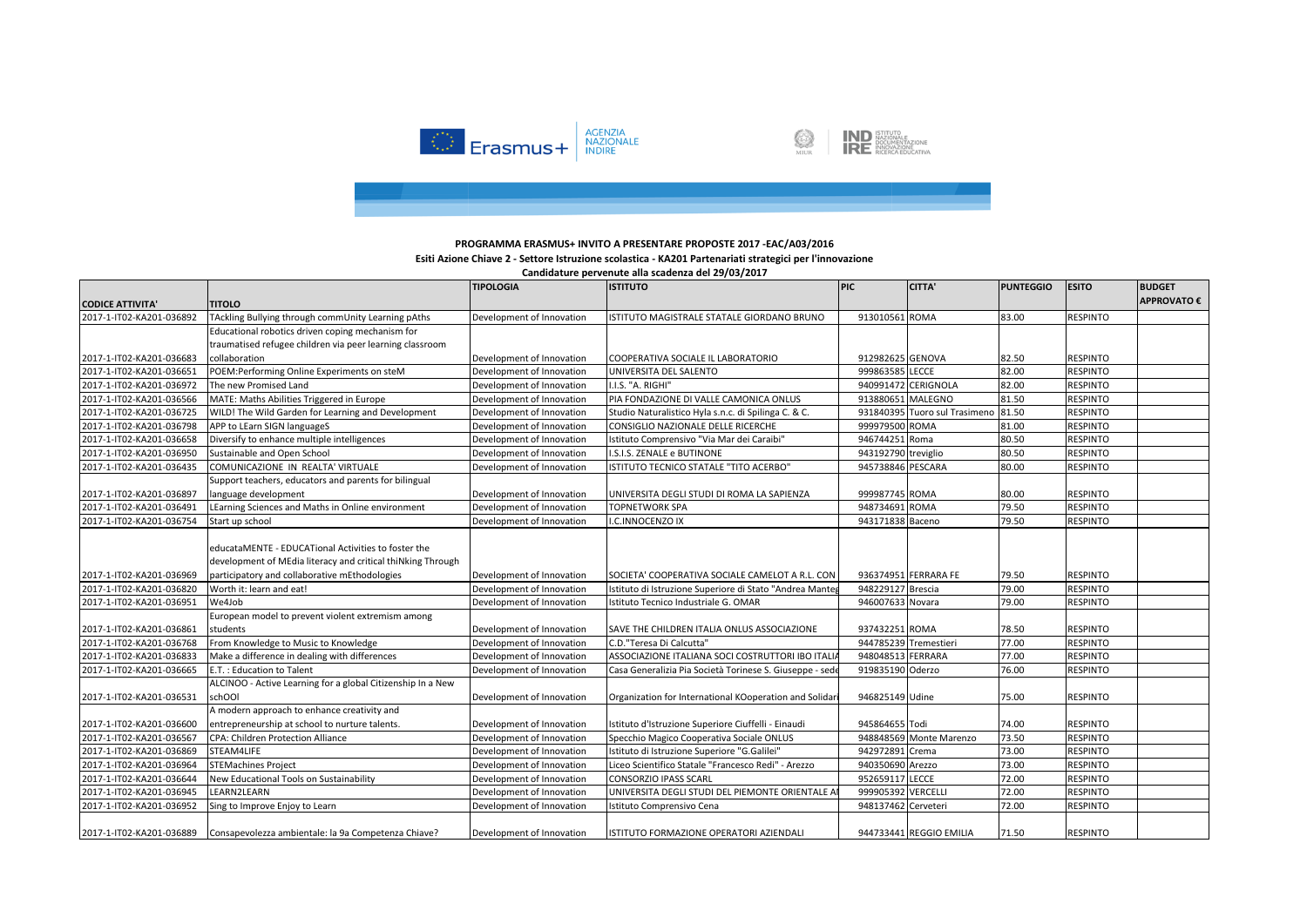

**IND** ISTITUTO<br>DOCUMENTAZIONE<br>**IRE** INNOVAZIONE Ø

## **PROGRAMMA ERASMUS+ INVITO A PRESENTARE PROPOSTE 2017 -EAC/A03/2016**

### **Esiti Azione Chiave 2 - Settore Istruzione scolastica - KA201 Partenariati strategici per l'innovazione**

|                          |                                                                              | <b>TIPOLOGIA</b>          | <b>ISTITUTO</b>                                          | <b>PIC</b>            | <b>CITTA'</b>                 | <b>PUNTEGGIO</b> | <b>ESITO</b>    | <b>BUDGET</b>      |
|--------------------------|------------------------------------------------------------------------------|---------------------------|----------------------------------------------------------|-----------------------|-------------------------------|------------------|-----------------|--------------------|
| <b>CODICE ATTIVITA'</b>  | <b>TITOLO</b>                                                                |                           |                                                          |                       |                               |                  |                 | <b>APPROVATO €</b> |
| 2017-1-IT02-KA201-036892 | TAckling Bullying through commUnity Learning pAths                           | Development of Innovation | ISTITUTO MAGISTRALE STATALE GIORDANO BRUNO               | 913010561 ROMA        |                               | 83.00            | <b>RESPINTO</b> |                    |
|                          | Educational robotics driven coping mechanism for                             |                           |                                                          |                       |                               |                  |                 |                    |
|                          | traumatised refugee children via peer learning classroom                     |                           |                                                          |                       |                               |                  |                 |                    |
| 2017-1-IT02-KA201-036683 | collaboration                                                                | Development of Innovation | COOPERATIVA SOCIALE IL LABORATORIO                       | 912982625 GENOVA      |                               | 82.50            | <b>RESPINTO</b> |                    |
| 2017-1-IT02-KA201-036651 | POEM: Performing Online Experiments on steM                                  | Development of Innovation | UNIVERSITA DEL SALENTO                                   | 999863585 LECCE       |                               | 82.00            | <b>RESPINTO</b> |                    |
| 2017-1-IT02-KA201-036972 | The new Promised Land                                                        | Development of Innovation | I.I.S. "A. RIGHI"                                        |                       | 940991472 CERIGNOLA           | 82.00            | <b>RESPINTO</b> |                    |
| 2017-1-IT02-KA201-036566 | MATE: Maths Abilities Triggered in Europe                                    | Development of Innovation | PIA FONDAZIONE DI VALLE CAMONICA ONLUS                   | 913880651 MALEGNO     |                               | 81.50            | <b>RESPINTO</b> |                    |
| 2017-1-IT02-KA201-036725 | WILD! The Wild Garden for Learning and Development                           | Development of Innovation | Studio Naturalistico Hyla s.n.c. di Spilinga C. & C.     |                       | 931840395 Tuoro sul Trasimeno | 81.50            | <b>RESPINTO</b> |                    |
| 2017-1-IT02-KA201-036798 | APP to LEarn SIGN languageS                                                  | Development of Innovation | CONSIGLIO NAZIONALE DELLE RICERCHE                       | 999979500 ROMA        |                               | 81.00            | <b>RESPINTO</b> |                    |
| 2017-1-IT02-KA201-036658 | Diversify to enhance multiple intelligences                                  | Development of Innovation | Istituto Comprensivo "Via Mar dei Caraibi"               | 946744251 Roma        |                               | 80.50            | <b>RESPINTO</b> |                    |
| 2017-1-IT02-KA201-036950 | Sustainable and Open School                                                  | Development of Innovation | I.S.I.S. ZENALE e BUTINONE                               | 943192790 treviglio   |                               | 80.50            | <b>RESPINTO</b> |                    |
| 2017-1-IT02-KA201-036435 | COMUNICAZIONE IN REALTA' VIRTUALE                                            | Development of Innovation | ISTITUTO TECNICO STATALE "TITO ACERBO"                   | 945738846 PESCARA     |                               | 80.00            | <b>RESPINTO</b> |                    |
|                          | Support teachers, educators and parents for bilingual                        |                           |                                                          |                       |                               |                  |                 |                    |
| 2017-1-IT02-KA201-036897 | language development                                                         | Development of Innovation | UNIVERSITA DEGLI STUDI DI ROMA LA SAPIENZA               | 999987745 ROMA        |                               | 80.00            | <b>RESPINTO</b> |                    |
| 2017-1-IT02-KA201-036491 | LEarning Sciences and Maths in Online environment                            | Development of Innovation | <b>TOPNETWORK SPA</b>                                    | 948734691 ROMA        |                               | 79.50            | <b>RESPINTO</b> |                    |
| 2017-1-IT02-KA201-036754 | Start up school                                                              | Development of Innovation | I.C.INNOCENZO IX                                         | 943171838 Baceno      |                               | 79.50            | <b>RESPINTO</b> |                    |
|                          |                                                                              |                           |                                                          |                       |                               |                  |                 |                    |
|                          | educataMENTE - EDUCATional Activities to foster the                          |                           |                                                          |                       |                               |                  |                 |                    |
|                          | development of MEdia literacy and critical thiNking Through                  |                           |                                                          |                       |                               |                  |                 |                    |
| 2017-1-IT02-KA201-036969 | participatory and collaborative mEthodologies                                | Development of Innovation | SOCIETA' COOPERATIVA SOCIALE CAMELOT A R.L. CON          |                       | 936374951 FERRARA FE          | 79.50            | <b>RESPINTO</b> |                    |
| 2017-1-IT02-KA201-036820 | Worth it: learn and eat!                                                     | Development of Innovation | Istituto di Istruzione Superiore di Stato "Andrea Manter | 948229127 Brescia     |                               | 79.00            | <b>RESPINTO</b> |                    |
| 2017-1-IT02-KA201-036951 | We4Job                                                                       | Development of Innovation | Istituto Tecnico Industriale G. OMAR                     | 946007633 Novara      |                               | 79.00            | <b>RESPINTO</b> |                    |
|                          | European model to prevent violent extremism among                            |                           |                                                          |                       |                               |                  |                 |                    |
| 2017-1-IT02-KA201-036861 | students                                                                     | Development of Innovation | SAVE THE CHILDREN ITALIA ONLUS ASSOCIAZIONE              | 937432251 ROMA        |                               | 78.50            | <b>RESPINTO</b> |                    |
| 2017-1-IT02-KA201-036768 | From Knowledge to Music to Knowledge                                         | Development of Innovation | C.D."Teresa Di Calcutta"                                 | 944785239 Tremestieri |                               | 77.00            | <b>RESPINTO</b> |                    |
| 2017-1-IT02-KA201-036833 | Make a difference in dealing with differences                                | Development of Innovation | ASSOCIAZIONE ITALIANA SOCI COSTRUTTORI IBO ITALIA        | 948048513 FERRARA     |                               | 77.00            | <b>RESPINTO</b> |                    |
| 2017-1-IT02-KA201-036665 | E.T.: Education to Talent                                                    | Development of Innovation | Casa Generalizia Pia Società Torinese S. Giuseppe - sede | 919835190 Oderzo      |                               | 76.00            | <b>RESPINTO</b> |                    |
|                          | ALCINOO - Active Learning for a global Citizenship In a New                  |                           |                                                          |                       |                               |                  |                 |                    |
| 2017-1-IT02-KA201-036531 | schOOl                                                                       | Development of Innovation | Organization for International KOoperation and Solidar   | 946825149 Udine       |                               | 75.00            | <b>RESPINTO</b> |                    |
|                          | A modern approach to enhance creativity and                                  |                           |                                                          |                       |                               |                  |                 |                    |
| 2017-1-IT02-KA201-036600 | entrepreneurship at school to nurture talents.                               | Development of Innovation | Istituto d'Istruzione Superiore Ciuffelli - Einaudi      | 945864655 Todi        |                               | 74.00            | <b>RESPINTO</b> |                    |
| 2017-1-IT02-KA201-036567 | CPA: Children Protection Alliance                                            | Development of Innovation | Specchio Magico Cooperativa Sociale ONLUS                |                       | 948848569 Monte Marenzo       | 73.50            | <b>RESPINTO</b> |                    |
| 2017-1-IT02-KA201-036869 | STEAM4LIFE                                                                   | Development of Innovation | Istituto di Istruzione Superiore "G.Galilei"             | 942972891 Crema       |                               | 73.00            | <b>RESPINTO</b> |                    |
| 2017-1-IT02-KA201-036964 | <b>STEMachines Project</b>                                                   | Development of Innovation | Liceo Scientifico Statale "Francesco Redi" - Arezzo      | 940350690 Arezzo      |                               | 73.00            | <b>RESPINTO</b> |                    |
| 2017-1-IT02-KA201-036644 | New Educational Tools on Sustainability                                      | Development of Innovation | <b>CONSORZIO IPASS SCARL</b>                             | 952659117 LECCE       |                               | 72.00            | <b>RESPINTO</b> |                    |
| 2017-1-IT02-KA201-036945 | LEARN2LEARN                                                                  | Development of Innovation | UNIVERSITA DEGLI STUDI DEL PIEMONTE ORIENTALE A          | 999905392 VERCELLI    |                               | 72.00            | <b>RESPINTO</b> |                    |
| 2017-1-IT02-KA201-036952 | Sing to Improve Enjoy to Learn                                               | Development of Innovation | Istituto Comprensivo Cena                                | 948137462 Cerveteri   |                               | 72.00            | <b>RESPINTO</b> |                    |
|                          |                                                                              |                           |                                                          |                       |                               |                  |                 |                    |
|                          | 2017-1-IT02-KA201-036889 Consapevolezza ambientale: la 9a Competenza Chiave? | Development of Innovation | ISTITUTO FORMAZIONE OPERATORI AZIENDALI                  |                       | 944733441 REGGIO EMILIA       | 71.50            | <b>RESPINTO</b> |                    |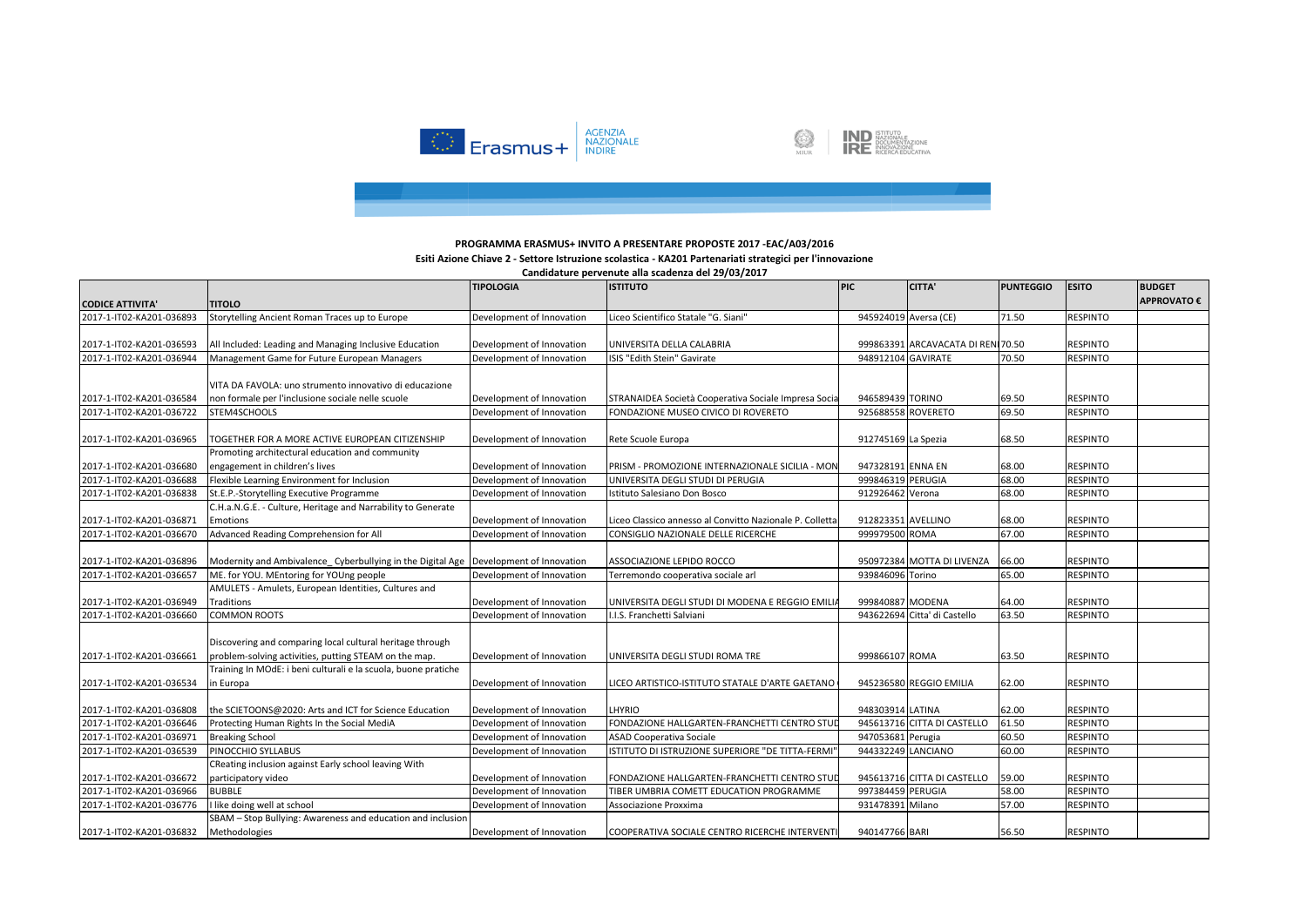

**IND** ISTITUTO<br>DOCUMENTAZIONE<br>**IRE** INNOVAZIONE 



# **Esiti Azione Chiave 2 - Settore Istruzione scolastica - KA201 Partenariati strategici per l'innovazione**

|                          |                                                                                        | <b>TIPOLOGIA</b>          | <b>ISTITUTO</b>                                          | PIC                   | CITTA'                             | <b>PUNTEGGIO</b> | <b>ESITO</b>    | <b>BUDGET</b>      |
|--------------------------|----------------------------------------------------------------------------------------|---------------------------|----------------------------------------------------------|-----------------------|------------------------------------|------------------|-----------------|--------------------|
| <b>CODICE ATTIVITA'</b>  | <b>TITOLO</b>                                                                          |                           |                                                          |                       |                                    |                  |                 | <b>APPROVATO €</b> |
| 2017-1-IT02-KA201-036893 | Storytelling Ancient Roman Traces up to Europe                                         | Development of Innovation | Liceo Scientifico Statale "G. Siani"                     | 945924019 Aversa (CE) |                                    | 71.50            | <b>RESPINTO</b> |                    |
|                          |                                                                                        |                           |                                                          |                       |                                    |                  |                 |                    |
| 2017-1-IT02-KA201-036593 | All Included: Leading and Managing Inclusive Education                                 | Development of Innovation | UNIVERSITA DELLA CALABRIA                                |                       | 999863391 ARCAVACATA DI RENI 70.50 |                  | <b>RESPINTO</b> |                    |
| 2017-1-IT02-KA201-036944 | Management Game for Future European Managers                                           | Development of Innovation | ISIS "Edith Stein" Gavirate                              | 948912104 GAVIRATE    |                                    | 70.50            | <b>RESPINTO</b> |                    |
|                          |                                                                                        |                           |                                                          |                       |                                    |                  |                 |                    |
|                          | VITA DA FAVOLA: uno strumento innovativo di educazione                                 |                           |                                                          |                       |                                    |                  |                 |                    |
| 2017-1-IT02-KA201-036584 | non formale per l'inclusione sociale nelle scuole                                      | Development of Innovation | STRANAIDEA Società Cooperativa Sociale Impresa Socia     | 946589439 TORINO      |                                    | 69.50            | <b>RESPINTO</b> |                    |
| 2017-1-IT02-KA201-036722 | STEM4SCHOOLS                                                                           | Development of Innovation | FONDAZIONE MUSEO CIVICO DI ROVERETO                      | 925688558 ROVERETO    |                                    | 69.50            | <b>RESPINTO</b> |                    |
|                          |                                                                                        |                           |                                                          |                       |                                    |                  |                 |                    |
| 2017-1-IT02-KA201-036965 | TOGETHER FOR A MORE ACTIVE EUROPEAN CITIZENSHIP                                        | Development of Innovation | Rete Scuole Europa                                       | 912745169 La Spezia   |                                    | 68.50            | <b>RESPINTO</b> |                    |
|                          | Promoting architectural education and community                                        |                           |                                                          |                       |                                    |                  |                 |                    |
| 2017-1-IT02-KA201-036680 | engagement in children's lives                                                         | Development of Innovation | PRISM - PROMOZIONE INTERNAZIONALE SICILIA - MON          | 947328191 ENNA EN     |                                    | 68.00            | <b>RESPINTO</b> |                    |
| 2017-1-IT02-KA201-036688 | Flexible Learning Environment for Inclusion                                            | Development of Innovation | UNIVERSITA DEGLI STUDI DI PERUGIA                        | 999846319 PERUGIA     |                                    | 68.00            | <b>RESPINTO</b> |                    |
| 2017-1-IT02-KA201-036838 | St.E.P.-Storytelling Executive Programme                                               | Development of Innovation | Istituto Salesiano Don Bosco                             | 912926462 Verona      |                                    | 68.00            | <b>RESPINTO</b> |                    |
|                          | C.H.a.N.G.E. - Culture, Heritage and Narrability to Generate                           |                           |                                                          |                       |                                    |                  |                 |                    |
| 2017-1-IT02-KA201-036871 | Emotions                                                                               | Development of Innovation | Liceo Classico annesso al Convitto Nazionale P. Colletta | 912823351 AVELLINO    |                                    | 68.00            | <b>RESPINTO</b> |                    |
| 2017-1-IT02-KA201-036670 | Advanced Reading Comprehension for All                                                 | Development of Innovation | CONSIGLIO NAZIONALE DELLE RICERCHE                       | 999979500 ROMA        |                                    | 67.00            | <b>RESPINTO</b> |                    |
|                          |                                                                                        |                           |                                                          |                       |                                    |                  |                 |                    |
| 2017-1-IT02-KA201-036896 | Modernity and Ambivalence Cyberbullying in the Digital Age   Development of Innovation |                           | ASSOCIAZIONE LEPIDO ROCCO                                |                       | 950972384 MOTTA DI LIVENZA         | 66.00            | <b>RESPINTO</b> |                    |
| 2017-1-IT02-KA201-036657 | ME. for YOU. MEntoring for YOUng people                                                | Development of Innovation | Terremondo cooperativa sociale arl                       | 939846096 Torino      |                                    | 65.00            | <b>RESPINTO</b> |                    |
|                          | AMULETS - Amulets, European Identities, Cultures and                                   |                           |                                                          |                       |                                    |                  |                 |                    |
| 2017-1-IT02-KA201-036949 | Traditions                                                                             | Development of Innovation | UNIVERSITA DEGLI STUDI DI MODENA E REGGIO EMILI          | 999840887 MODENA      |                                    | 64.00            | <b>RESPINTO</b> |                    |
| 2017-1-IT02-KA201-036660 | <b>COMMON ROOTS</b>                                                                    | Development of Innovation | I.I.S. Franchetti Salviani                               |                       | 943622694 Citta' di Castello       | 63.50            | <b>RESPINTO</b> |                    |
|                          |                                                                                        |                           |                                                          |                       |                                    |                  |                 |                    |
|                          | Discovering and comparing local cultural heritage through                              |                           |                                                          |                       |                                    |                  |                 |                    |
| 2017-1-IT02-KA201-036661 | problem-solving activities, putting STEAM on the map.                                  | Development of Innovation | UNIVERSITA DEGLI STUDI ROMA TRE                          | 999866107 ROMA        |                                    | 63.50            | <b>RESPINTO</b> |                    |
|                          | Training In MOdE: i beni culturali e la scuola, buone pratiche                         |                           |                                                          |                       |                                    |                  |                 |                    |
| 2017-1-IT02-KA201-036534 | in Europa                                                                              | Development of Innovation | LICEO ARTISTICO-ISTITUTO STATALE D'ARTE GAETANO          |                       | 945236580 REGGIO EMILIA            | 62.00            | <b>RESPINTO</b> |                    |
|                          |                                                                                        |                           |                                                          |                       |                                    |                  |                 |                    |
| 2017-1-IT02-KA201-036808 | the SCIETOONS@2020: Arts and ICT for Science Education                                 | Development of Innovation | LHYRIO                                                   | 948303914 LATINA      |                                    | 62.00            | <b>RESPINTO</b> |                    |
| 2017-1-IT02-KA201-036646 | Protecting Human Rights In the Social MediA                                            | Development of Innovation | FONDAZIONE HALLGARTEN-FRANCHETTI CENTRO STUI             |                       | 945613716 CITTA DI CASTELLO        | 61.50            | <b>RESPINTO</b> |                    |
| 2017-1-IT02-KA201-036971 | <b>Breaking School</b>                                                                 | Development of Innovation | <b>ASAD Cooperativa Sociale</b>                          | 947053681 Perugia     |                                    | 60.50            | <b>RESPINTO</b> |                    |
| 2017-1-IT02-KA201-036539 | PINOCCHIO SYLLABUS                                                                     | Development of Innovation | ISTITUTO DI ISTRUZIONE SUPERIORE "DE TITTA-FERMI         | 944332249 LANCIANO    |                                    | 60.00            | <b>RESPINTO</b> |                    |
|                          | CReating inclusion against Early school leaving With                                   |                           |                                                          |                       |                                    |                  |                 |                    |
| 2017-1-IT02-KA201-036672 | participatory video                                                                    | Development of Innovation | FONDAZIONE HALLGARTEN-FRANCHETTI CENTRO STUD             |                       | 945613716 CITTA DI CASTELLO        | 59.00            | <b>RESPINTO</b> |                    |
| 2017-1-IT02-KA201-036966 | <b>BUBBLE</b>                                                                          | Development of Innovation | TIBER UMBRIA COMETT EDUCATION PROGRAMME                  | 997384459 PERUGIA     |                                    | 58.00            | <b>RESPINTO</b> |                    |
| 2017-1-IT02-KA201-036776 | I like doing well at school                                                            | Development of Innovation | Associazione Proxxima                                    | 931478391 Milano      |                                    | 57.00            | <b>RESPINTO</b> |                    |
|                          | SBAM - Stop Bullying: Awareness and education and inclusion                            |                           |                                                          |                       |                                    |                  |                 |                    |
| 2017-1-IT02-KA201-036832 | Methodologies                                                                          | Development of Innovation | COOPERATIVA SOCIALE CENTRO RICERCHE INTERVENTI           | 940147766 BARI        |                                    | 56.50            | <b>RESPINTO</b> |                    |